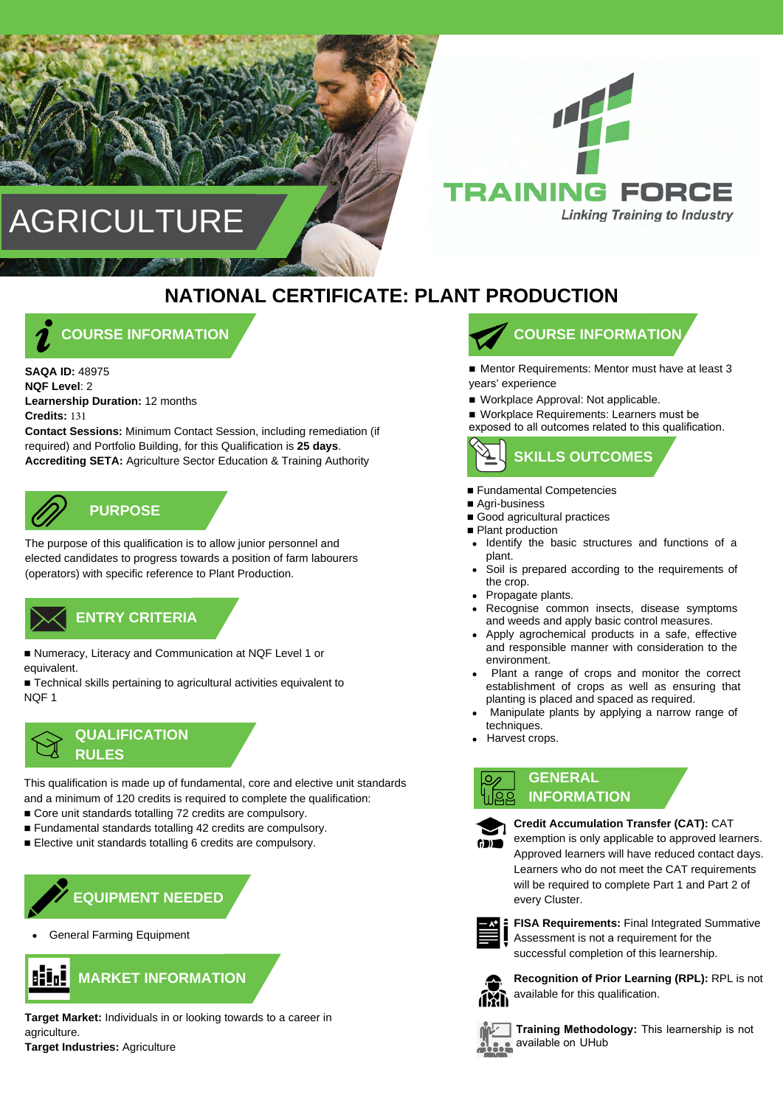# **AGRICULTURE**



## **NATIONAL CERTIFICATE: PLANT PRODUCTION**



**SAQA ID:** 48975 **NQF Level**: 2 **Learnership Duration:** 12 months **Credits:** 131

**Contact Sessions:** Minimum Contact Session, including remediation (if required) and Portfolio Building, for this Qualification is **25 days**. **Accrediting SETA:** Agriculture Sector Education & Training Authority



**PURPOSE**

The purpose of this qualification is to allow junior personnel and elected candidates to progress towards a position of farm labourers (operators) with specific reference to Plant Production.

### **ENTRY CRITERIA ENTRY CRITERIA**

■ Numeracy, Literacy and Communication at NQF Level 1 or equivalent.

■ Technical skills pertaining to agricultural activities equivalent to NQF 1



This qualification is made up of fundamental, core and elective unit standards and a minimum of 120 credits is required to complete the qualification:

- Core unit standards totalling 72 credits are compulsory.
- Fundamental standards totalling 42 credits are compulsory.
- Elective unit standards totalling 6 credits are compulsory.



General Farming Equipment



**Target Market:** Individuals in or looking towards to a career in agriculture.

**Target Industries:** Agriculture



■ Mentor Requirements: Mentor must have at least 3 years' experience

■ Workplace Approval: Not applicable.

■ Workplace Requirements: Learners must be exposed to all outcomes related to this qualification.



- Fundamental Competencies
- Agri-business
- Good agricultural practices
- Plant production
- Identify the basic structures and functions of a  $\bullet$ plant.
- Soil is prepared according to the requirements of the crop.
- Propagate plants.
- Recognise common insects, disease symptoms and weeds and apply basic control measures.
- Apply agrochemical products in a safe, effective and responsible manner with consideration to the environment.
- Plant a range of crops and monitor the correct establishment of crops as well as ensuring that planting is placed and spaced as required.
- Manipulate plants by applying a narrow range of techniques.
- Harvest crops.



### **GENERAL INFORMATION**



**Credit Accumulation Transfer (CAT):** CAT

exemption is only applicable to approved learners. Approved learners will have reduced contact days. Learners who do not meet the CAT requirements will be required to complete Part 1 and Part 2 of every Cluster.

**FISA Requirements:** Final Integrated Summative Assessment is not a requirement for the successful completion of this learnership.



**Recognition of Prior Learning (RPL):** RPL is not available for this qualification.



**Training Methodology:** This learnership is not available on UHub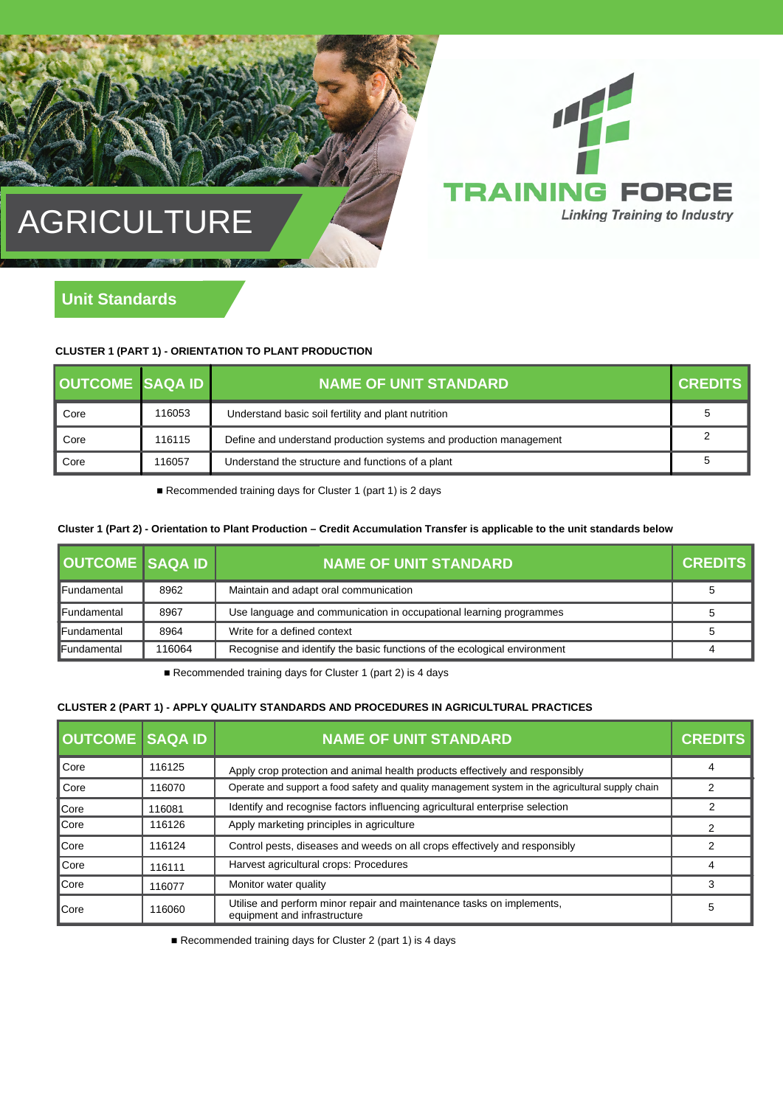# AGRICULTURE



### **CLUSTER 1 (PART 1) - ORIENTATION TO PLANT PRODUCTION**

| <b>OUTCOME SAQA ID</b> |        | <b>NAME OF UNIT STANDARD</b>                                       | <b>CREDITS</b> |
|------------------------|--------|--------------------------------------------------------------------|----------------|
| Core                   | 116053 | Understand basic soil fertility and plant nutrition                | 5              |
| Core                   | 116115 | Define and understand production systems and production management |                |
| Core                   | 116057 | Understand the structure and functions of a plant                  |                |

4

**RAINING FORCE** 

**Linking Training to Industry** 

■ Recommended training days for Cluster 1 (part 1) is 2 days

### **Cluster 1 (Part 2) - Orientation to Plant Production – Credit Accumulation Transfer is applicable to the unit standards below**

| <b>OUTCOME SAQA ID</b> |        | <b>NAME OF UNIT STANDARD</b>                                             | <b>CREDITS</b> |
|------------------------|--------|--------------------------------------------------------------------------|----------------|
| <b>IFundamental</b>    | 8962   | Maintain and adapt oral communication                                    |                |
| !Fundamental           | 8967   | Use language and communication in occupational learning programmes       |                |
| <b>Fundamental</b>     | 8964   | Write for a defined context                                              |                |
| Fundamental            | 116064 | Recognise and identify the basic functions of the ecological environment |                |

■ Recommended training days for Cluster 1 (part 2) is 4 days

### **CLUSTER 2 (PART 1) - APPLY QUALITY STANDARDS AND PROCEDURES IN AGRICULTURAL PRACTICES**

| <b>OUTCOME SAQA ID</b> |        | <b>NAME OF UNIT STANDARD</b>                                                                          | <b>CREDITS</b> |
|------------------------|--------|-------------------------------------------------------------------------------------------------------|----------------|
| Core                   | 116125 | Apply crop protection and animal health products effectively and responsibly                          |                |
| Core                   | 116070 | Operate and support a food safety and quality management system in the agricultural supply chain      |                |
| <b>Core</b>            | 116081 | Identify and recognise factors influencing agricultural enterprise selection                          |                |
| <b>Core</b>            | 116126 | Apply marketing principles in agriculture                                                             |                |
| <b>Core</b>            | 116124 | Control pests, diseases and weeds on all crops effectively and responsibly                            |                |
| Core                   | 116111 | Harvest agricultural crops: Procedures                                                                | Δ              |
| <b>Core</b>            | 116077 | Monitor water quality                                                                                 |                |
| <b>Core</b>            | 116060 | Utilise and perform minor repair and maintenance tasks on implements,<br>equipment and infrastructure | 5              |

■ Recommended training days for Cluster 2 (part 1) is 4 days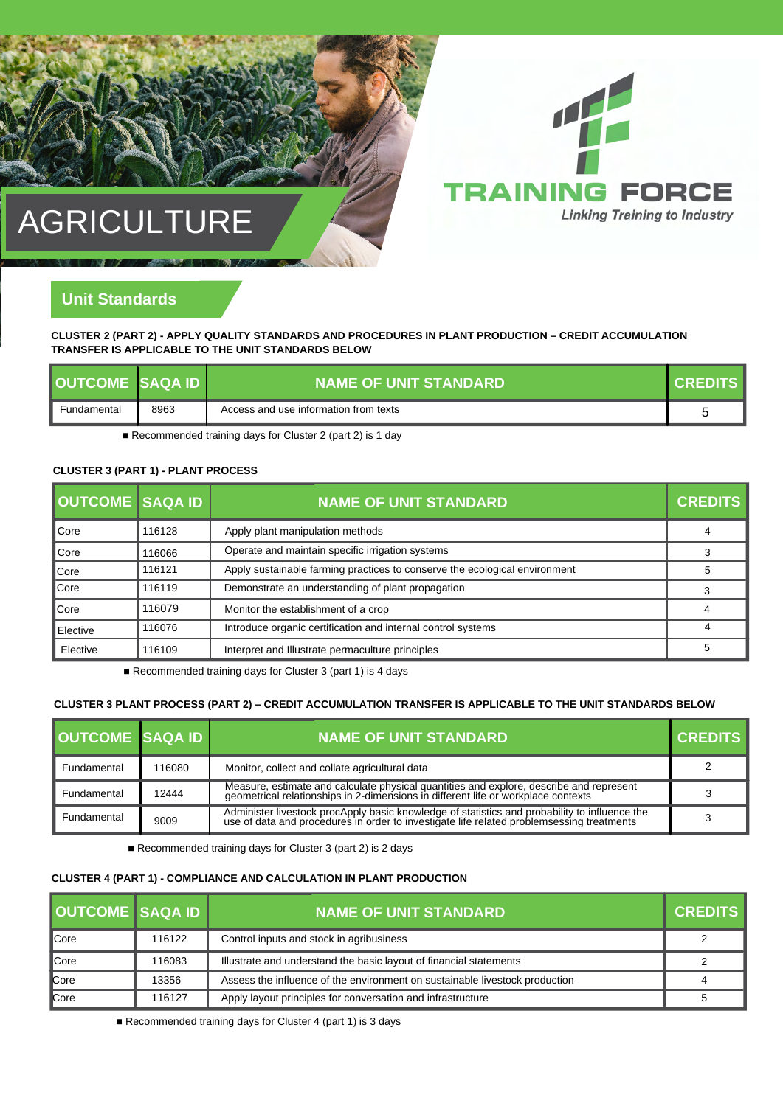# 听 **AINING FORCE Linking Training to Industry**

## AGRICULTURE

### **Unit Standards**

### **CLUSTER 2 (PART 2) - APPLY QUALITY STANDARDS AND PROCEDURES IN PLANT PRODUCTION – CREDIT ACCUMULATION TRANSFER IS APPLICABLE TO THE UNIT STANDARDS BELOW**

| OUTCOME SAOA ID |      | NAME OF UNIT STANDARD !               | <b>I CREDITS</b> |
|-----------------|------|---------------------------------------|------------------|
| Fundamental     | 8963 | Access and use information from texts |                  |

■ Recommended training days for Cluster 2 (part 2) is 1 day

### **CLUSTER 3 (PART 1) - PLANT PROCESS**

| <b>OUTCOME</b> SAQA ID |        | <b>NAME OF UNIT STANDARD</b>                                               | <b>CREDITS</b> |
|------------------------|--------|----------------------------------------------------------------------------|----------------|
| <b>Core</b>            | 116128 | Apply plant manipulation methods                                           | 4              |
| <b>Core</b>            | 116066 | Operate and maintain specific irrigation systems                           |                |
| <b>Core</b>            | 116121 | Apply sustainable farming practices to conserve the ecological environment |                |
| <b>Core</b>            | 116119 | Demonstrate an understanding of plant propagation                          |                |
| <b>Core</b>            | 116079 | Monitor the establishment of a crop                                        |                |
| Elective               | 116076 | Introduce organic certification and internal control systems               |                |
| Elective               | 116109 | Interpret and Illustrate permaculture principles                           |                |

■ Recommended training days for Cluster 3 (part 1) is 4 days

### **CLUSTER 3 PLANT PROCESS (PART 2) – CREDIT ACCUMULATION TRANSFER IS APPLICABLE TO THE UNIT STANDARDS BELOW**

| <b>OUTCOME SAQA ID</b> |        | <b>NAME OF UNIT STANDARD.</b>                                                                                                                                                           | <b>CREDITS</b> |
|------------------------|--------|-----------------------------------------------------------------------------------------------------------------------------------------------------------------------------------------|----------------|
| Fundamental            | 116080 | Monitor, collect and collate agricultural data                                                                                                                                          |                |
| Fundamental            | 12444  | Measure, estimate and calculate physical quantities and explore, describe and represent geometrical relationships in 2-dimensions in different life or workplace contexts               |                |
| Fundamental            | 9009   | Administer livestock procApply basic knowledge of statistics and probability to influence the use of data and procedures in order to investigate life related problemsessing treatments |                |

■ Recommended training days for Cluster 3 (part 2) is 2 days

### **CLUSTER 4 (PART 1) - COMPLIANCE AND CALCULATION IN PLANT PRODUCTION**

| <b>OUTCOME SAQA ID</b> |        | <b>NAME OF UNIT STANDARD</b>                                                | <b>CREDITS</b> |
|------------------------|--------|-----------------------------------------------------------------------------|----------------|
| ∎Core                  | 116122 | Control inputs and stock in agribusiness                                    |                |
| ∎Core                  | 116083 | Illustrate and understand the basic layout of financial statements          |                |
| <b>Core</b>            | 13356  | Assess the influence of the environment on sustainable livestock production |                |
| <b>Core</b>            | 116127 | Apply layout principles for conversation and infrastructure                 |                |

■ Recommended training days for Cluster 4 (part 1) is 3 days